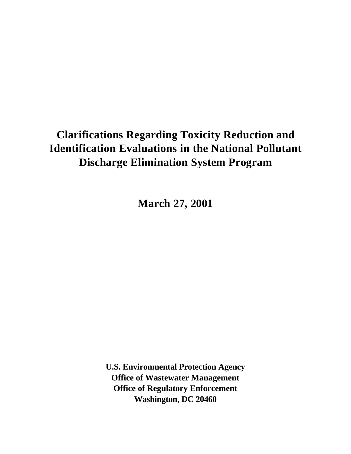# **Clarifications Regarding Toxicity Reduction and Identification Evaluations in the National Pollutant Discharge Elimination System Program**

**March 27, 2001**

**U.S. Environmental Protection Agency Office of Wastewater Management Office of Regulatory Enforcement Washington, DC 20460**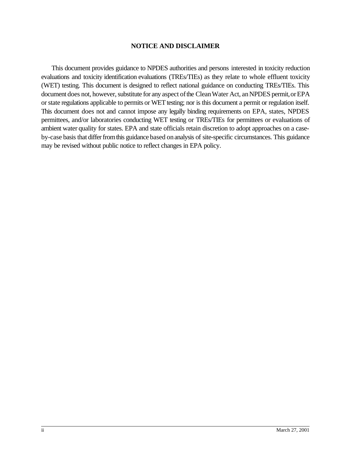## **NOTICE AND DISCLAIMER**

This document provides guidance to NPDES authorities and persons interested in toxicity reduction evaluations and toxicity identification evaluations (TREs/TIEs) as they relate to whole effluent toxicity (WET) testing. This document is designed to reflect national guidance on conducting TREs/TIEs. This document does not, however, substitute for any aspect of the Clean Water Act, an NPDES permit, or EPA or state regulations applicable to permits or WET testing; nor is this document a permit or regulation itself. This document does not and cannot impose any legally binding requirements on EPA, states, NPDES permittees, and/or laboratories conducting WET testing or TREs/TIEs for permittees or evaluations of ambient water quality for states. EPA and state officials retain discretion to adopt approaches on a caseby-case basis that differ from this guidance based on analysis of site-specific circumstances. This guidance may be revised without public notice to reflect changes in EPA policy.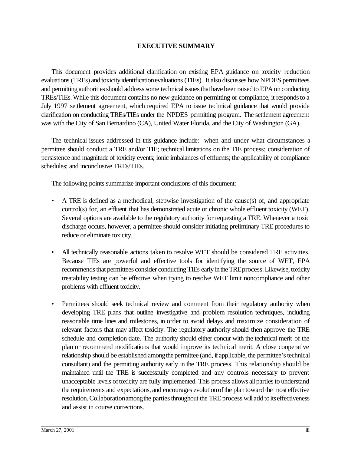# **EXECUTIVE SUMMARY**

This document provides additional clarification on existing EPA guidance on toxicity reduction evaluations (TREs) and toxicityidentificationevaluations (TIEs). It also discusses how NPDES permittees and permitting authorities should address some technical issues that have been raised to EPA on conducting TREs/TIEs.While this document contains no new guidance on permitting or compliance, it respondsto a July 1997 settlement agreement, which required EPA to issue technical guidance that would provide clarification on conducting TREs/TIEs under the NPDES permitting program. The settlement agreement was with the City of San Bernardino (CA), United Water Florida, and the City of Washington (GA).

The technical issues addressed in this guidance include: when and under what circumstances a permittee should conduct a TRE and/or TIE; technical limitations on the TIE process; consideration of persistence and magnitude of toxicity events; ionic imbalances of effluents; the applicability of compliance schedules; and inconclusive TREs/TIEs.

The following points summarize important conclusions of this document:

- A TRE is defined as a methodical, stepwise investigation of the cause(s) of, and appropriate control(s) for, an effluent that has demonstrated acute or chronic whole effluent toxicity (WET). Several options are available to the regulatory authority for requesting a TRE. Whenever a toxic discharge occurs, however, a permittee should consider initiating preliminary TRE procedures to reduce or eliminate toxicity.
- All technically reasonable actions taken to resolve WET should be considered TRE activities. Because TIEs are powerful and effective tools for identifying the source of WET, EPA recommends that permittees consider conducting TIEs early in the TRE process. Likewise, toxicity treatability testing can be effective when trying to resolve WET limit noncompliance and other problems with effluent toxicity.
- Permittees should seek technical review and comment from their regulatory authority when developing TRE plans that outline investigative and problem resolution techniques, including reasonable time lines and milestones, in order to avoid delays and maximize consideration of relevant factors that may affect toxicity. The regulatory authority should then approve the TRE schedule and completion date. The authority should either concur with the technical merit of the plan or recommend modifications that would improve its technical merit. A close cooperative relationship should be established among the permittee (and, if applicable, the permittee's technical consultant) and the permitting authority early in the TRE process. This relationship should be maintained until the TRE is successfully completed and any controls necessary to prevent unacceptable levels of toxicity are fully implemented. This process allows all parties to understand the requirements and expectations, and encourages evolutionofthe plantoward the most effective resolution. Collaboration among the parties throughout the TRE process will add to its effectiveness and assist in course corrections.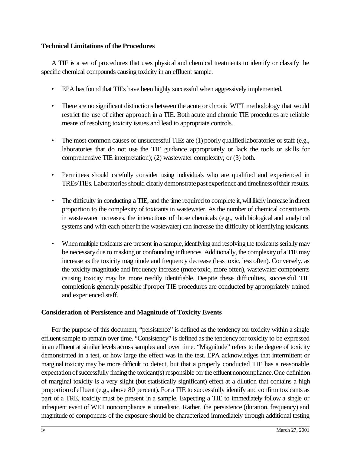# **Technical Limitations of the Procedures**

A TIE is a set of procedures that uses physical and chemical treatments to identify or classify the specific chemical compounds causing toxicity in an effluent sample.

- EPA has found that TIEs have been highly successful when aggressively implemented.
- There are no significant distinctions between the acute or chronic WET methodology that would restrict the use of either approach in a TIE. Both acute and chronic TIE procedures are reliable means of resolving toxicity issues and lead to appropriate controls.
- The most common causes of unsuccessful TIEs are (1) poorly qualified laboratories or staff (e.g., laboratories that do not use the TIE guidance appropriately or lack the tools or skills for comprehensive TIE interpretation); (2) wastewater complexity; or (3) both.
- Permittees should carefully consider using individuals who are qualified and experienced in TREs/TIEs. Laboratories should clearly demonstrate past experience and timeliness of their results.
- The difficulty in conducting a TIE, and the time required to complete it, will likely increase in direct proportion to the complexity of toxicants in wastewater. As the number of chemical constituents in wastewater increases, the interactions of those chemicals (e.g., with biological and analytical systems and with each other in the wastewater) can increase the difficulty of identifying toxicants.
- When multiple toxicants are present in a sample, identifying and resolving the toxicants serially may be necessarydue to masking or confounding influences. Additionally, the complexityof a TIEmay increase as the toxicity magnitude and frequency decrease (less toxic, less often). Conversely, as the toxicity magnitude and frequency increase (more toxic, more often), wastewater components causing toxicity may be more readily identifiable. Despite these difficulties, successful TIE completion is generally possible if proper TIE procedures are conducted by appropriately trained and experienced staff.

# **Consideration of Persistence and Magnitude of Toxicity Events**

For the purpose of this document, "persistence" is defined as the tendency for toxicity within a single effluent sample to remain over time. "Consistency" is defined asthe tendencyfor toxicity to be expressed in an effluent at similar levels across samples and over time. "Magnitude" refers to the degree of toxicity demonstrated in a test, or how large the effect was in the test. EPA acknowledges that intermittent or marginal toxicity may be more difficult to detect, but that a properly conducted TIE has a reasonable expectation of successfully finding the toxicant(s) responsible for the effluent noncompliance. One definition of marginal toxicity is a very slight (but statistically significant) effect at a dilution that contains a high proportionof effluent (e.g., above 80 percent). For a TIE to successfully identify and confirm toxicants as part of a TRE, toxicity must be present in a sample. Expecting a TIE to immediately follow a single or infrequent event of WET noncompliance is unrealistic. Rather, the persistence (duration, frequency) and magnitude of components of the exposure should be characterized immediately through additional testing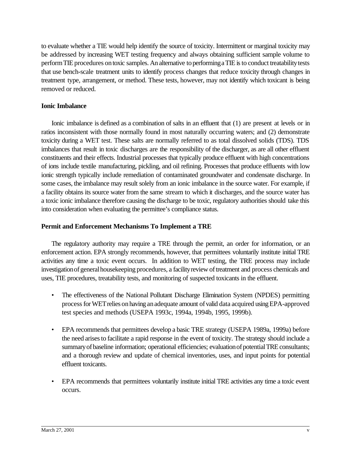to evaluate whether a TIE would help identify the source of toxicity. Intermittent or marginal toxicity may be addressed by increasing WET testing frequency and always obtaining sufficient sample volume to perform TIE procedures on toxic samples. An alternative to performing a TIE is to conduct treatability tests that use bench-scale treatment units to identify process changes that reduce toxicity through changes in treatment type, arrangement, or method. These tests, however, may not identify which toxicant is being removed or reduced.

## **Ionic Imbalance**

Ionic imbalance is defined as a combination of salts in an effluent that (1) are present at levels or in ratios inconsistent with those normally found in most naturally occurring waters; and (2) demonstrate toxicity during a WET test. These salts are normally referred to as total dissolved solids (TDS). TDS imbalances that result in toxic discharges are the responsibility of the discharger, as are all other effluent constituents and their effects. Industrial processes that typically produce effluent with high concentrations of ions include textile manufacturing, pickling, and oil refining. Processes that produce effluents with low ionic strength typically include remediation of contaminated groundwater and condensate discharge. In some cases, the imbalance may result solely from an ionic imbalance in the source water. For example, if a facility obtains its source water from the same stream to which it discharges, and the source water has a toxic ionic imbalance therefore causing the discharge to be toxic, regulatory authorities should take this into consideration when evaluating the permittee's compliance status.

# **Permit and Enforcement Mechanisms To Implement a TRE**

The regulatory authority may require a TRE through the permit, an order for information, or an enforcement action. EPA strongly recommends, however, that permittees voluntarily institute initial TRE activities any time a toxic event occurs. In addition to WET testing, the TRE process may include investigation of general housekeeping procedures, a facility review of treatment and process chemicals and uses, TIE procedures, treatability tests, and monitoring of suspected toxicants in the effluent.

- The effectiveness of the National Pollutant Discharge Elimination System (NPDES) permitting processforWETrelies onhaving anadequate amount ofvalid data acquired usingEPA-approved test species and methods (USEPA 1993c, 1994a, 1994b, 1995, 1999b).
- EPA recommends that permittees develop a basic TRE strategy (USEPA 1989a, 1999a) before the need arisesto facilitate a rapid response in the event of toxicity. The strategy should include a summary of baseline information; operational efficiencies; evaluation of potential TRE consultants; and a thorough review and update of chemical inventories, uses, and input points for potential effluent toxicants.
- EPA recommends that permittees voluntarily institute initial TRE activities any time a toxic event occurs.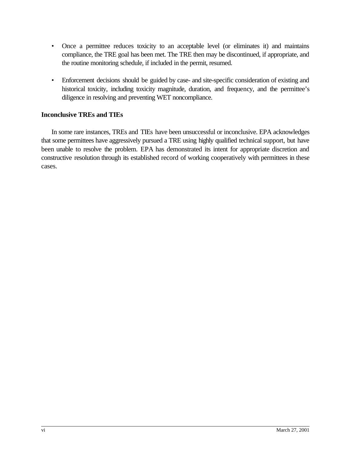- Once a permittee reduces toxicity to an acceptable level (or eliminates it) and maintains compliance, the TRE goal has been met. The TRE then may be discontinued, if appropriate, and the routine monitoring schedule, if included in the permit, resumed.
- Enforcement decisions should be guided by case- and site-specific consideration of existing and historical toxicity, including toxicity magnitude, duration, and frequency, and the permittee's diligence in resolving and preventing WET noncompliance.

# **Inconclusive TREs and TIEs**

In some rare instances, TREs and TIEs have been unsuccessful or inconclusive. EPA acknowledges that some permittees have aggressively pursued a TRE using highly qualified technical support, but have been unable to resolve the problem. EPA has demonstrated its intent for appropriate discretion and constructive resolution through its established record of working cooperatively with permittees in these cases.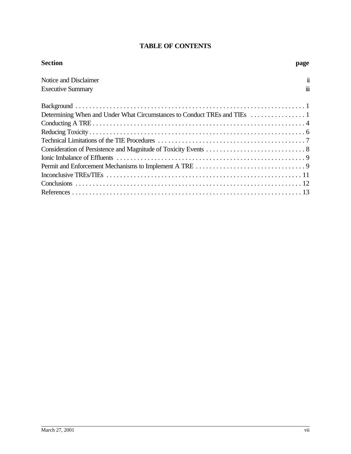# **TABLE OF CONTENTS**

| <b>Section</b>           | page                |
|--------------------------|---------------------|
| Notice and Disclaimer    | $\ddot{\mathbf{n}}$ |
| <b>Executive Summary</b> | 111                 |
|                          |                     |
|                          |                     |
|                          |                     |
|                          |                     |
|                          |                     |
|                          |                     |
|                          |                     |
|                          |                     |
|                          |                     |
|                          |                     |
|                          |                     |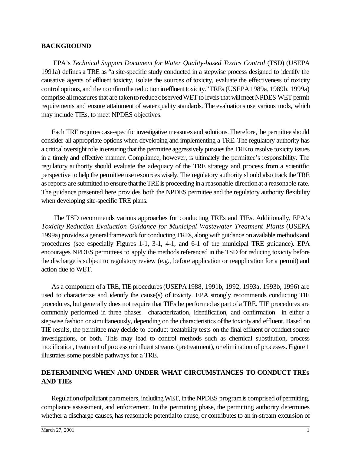# **BACKGROUND**

 EPA's *Technical Support Document for Water Quality-based Toxics Control* (TSD) (USEPA 1991a) defines a TRE as "a site-specific study conducted in a stepwise process designed to identify the causative agents of effluent toxicity, isolate the sources of toxicity, evaluate the effectiveness of toxicity controloptions, and thenconfirmthe reductionineffluent toxicity."TREs (USEPA1989a, 1989b, 1999a) comprise all measures that are taken to reduce observed WET to levels that will meet NPDES WET permit requirements and ensure attainment of water quality standards. The evaluations use various tools, which may include TIEs, to meet NPDES objectives.

Each TRE requires case-specific investigative measures and solutions. Therefore, the permittee should consider all appropriate options when developing and implementing a TRE. The regulatory authority has a criticaloversight role inensuring that the permittee aggressively pursuesthe TREto resolve toxicity issues in a timely and effective manner. Compliance, however, is ultimately the permittee's responsibility. The regulatory authority should evaluate the adequacy of the TRE strategy and process from a scientific perspective to help the permittee use resources wisely. The regulatory authority should also track the TRE as reports are submitted to ensure that the TRE is proceeding in a reasonable direction at a reasonable rate. The guidance presented here provides both the NPDES permittee and the regulatory authority flexibility when developing site-specific TRE plans.

 The TSD recommends various approaches for conducting TREs and TIEs. Additionally, EPA's *Toxicity Reduction Evaluation Guidance for Municipal Wastewater Treatment Plants* (USEPA 1999a) provides a general framework for conducting TREs, along with guidance on available methods and procedures (see especially Figures 1-1, 3-1, 4-1, and 6-1 of the municipal TRE guidance). EPA encourages NPDES permittees to apply the methods referenced in the TSD for reducing toxicity before the discharge is subject to regulatory review (e.g., before application or reapplication for a permit) and action due to WET.

As a component of a TRE, TIE procedures (USEPA 1988, 1991b, 1992, 1993a, 1993b, 1996) are used to characterize and identify the cause(s) of toxicity. EPA strongly recommends conducting TIE procedures, but generally does not require that TIEs be performed as part of a TRE. TIE procedures are commonly performed in three phases—characterization, identification, and confirmation—in either a stepwise fashion or simultaneously, depending on the characteristics of the toxicity and effluent. Based on TIE results, the permittee may decide to conduct treatability tests on the final effluent or conduct source investigations, or both. This may lead to control methods such as chemical substitution, process modification, treatment of process or influent streams (pretreatment), or elimination of processes. Figure 1 illustrates some possible pathways for a TRE.

# **DETERMINING WHEN AND UNDER WHAT CIRCUMSTANCES TO CONDUCT TREs AND TIEs**

Regulation of pollutant parameters, including WET, in the NPDES program is comprised of permitting, compliance assessment, and enforcement. In the permitting phase, the permitting authority determines whether a discharge causes, has reasonable potential to cause, or contributes to an in-stream excursion of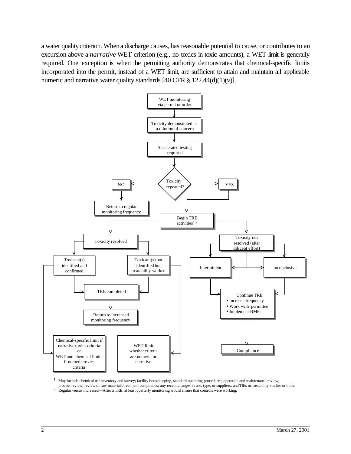a water quality criterion. When a discharge causes, has reasonable potential to cause, or contributes to an excursion above a *narrative* WET criterion (e.g., no toxics in toxic amounts), a WET limit is generally required. One exception is when the permitting authority demonstrates that chemical-specific limits incorporated into the permit, instead of a WET limit, are sufficient to attain and maintain all applicable numeric and narrative water quality standards  $[40 \text{ CFR } \frac{8}{9} \frac{122.44(d)(1)(v)}{2}]$ .



 $1$  May include chemical use inventory and survey; facility housekeeping, standard operating procedures; operation and maintenance review;

process review; review of raw materials/treatment compounds; any recent changes in use, type, or suppliers; and TIEs or treatablity studies or both.<br><sup>2</sup> Regular versus Increased—After a TRE, at least quarterly monitoring w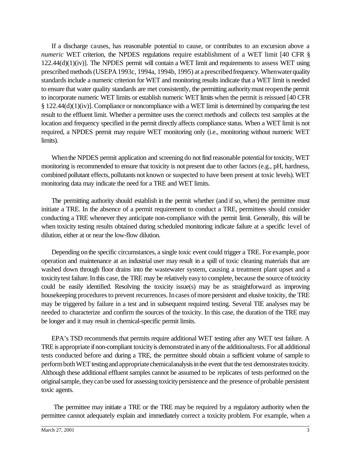If a discharge causes, has reasonable potential to cause, or contributes to an excursion above a *numeric* WET criterion, the NPDES regulations require establishment of a WET limit [40 CFR §  $122.44(d)(1)(iv)$ . The NPDES permit will contain a WET limit and requirements to assess WET using prescribed methods(USEPA1993c, 1994a, 1994b, 1995) at aprescribedfrequency.Whenwaterquality standardsinclude a numeric criterion for WET and monitoring results indicate that a WET limit is needed to ensure that water quality standards are met consistently, the permitting authoritymustreopenthe permit to incorporate numeric WET limits or establish numeric WET limits when the permit is reissued [40 CFR § 122.44(d)(1)(iv)]. Compliance or noncompliance with a WET limit is determined by comparing the test result to the effluent limit. Whether a permittee uses the correct methods and collects test samples at the location and frequency specified in the permit directly affects compliance status. When a WET limit is not required, a NPDES permit may require WET monitoring only (i.e., monitoring without numeric WET limits).

When the NPDES permit application and screening do not find reasonable potential for toxicity, WET monitoring is recommended to ensure that toxicity is not present due to other factors (e.g., pH, hardness, combined pollutant effects, pollutants not known or suspected to have been present at toxic levels).WET monitoring data may indicate the need for a TRE and WET limits.

The permitting authority should establish in the permit whether (and if so, when) the permittee must initiate a TRE. In the absence of a permit requirement to conduct a TRE, permittees should consider conducting a TRE whenever they anticipate non-compliance with the permit limit. Generally, this will be when toxicity testing results obtained during scheduled monitoring indicate failure at a specific level of dilution, either at or near the low-flow dilution.

Depending on the specific circumstances, a single toxic event could trigger a TRE. For example, poor operation and maintenance at an industrial user may result in a spill of toxic cleaning materials that are washed down through floor drains into the wastewater system, causing a treatment plant upset and a toxicitytest failure.Inthis case, the TRE may be relatively easyto complete, because the source oftoxicity could be easily identified. Resolving the toxicity issue(s) may be as straightforward as improving housekeeping procedures to prevent recurrences. In cases of more persistent and elusive toxicity, the TRE may be triggered by failure in a test and in subsequent required testing. Several TIE analyses may be needed to characterize and confirm the sources of the toxicity. In this case, the duration of the TRE may be longer and it may result in chemical-specific permit limits.

EPA's TSD recommends that permits require additional WET testing after any WET test failure. A TRE is appropriate if non-compliant toxicity is demonstrated in any of the additional tests. For all additional tests conducted before and during a TRE, the permittee should obtain a sufficient volume of sample to perform both WET testing and appropriate chemical analysis in the event that the test demonstrates toxicity. Although these additional effluent samples cannot be assumed to be replicates of tests performed on the originalsample, theycanbe used for assessing toxicitypersistence and the presence ofprobable persistent toxic agents.

The permittee may initiate a TRE or the TRE may be required by a regulatory authority when the permittee cannot adequately explain and immediately correct a toxicity problem. For example, when a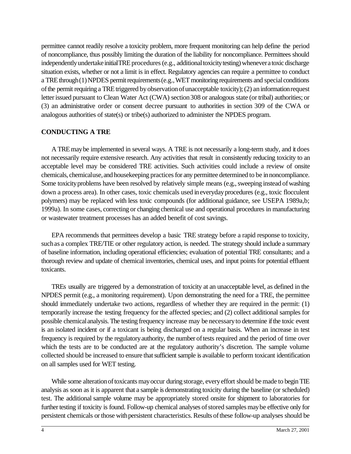permittee cannot readily resolve a toxicity problem, more frequent monitoring can help define the period of noncompliance, thus possibly limiting the duration of the liability for noncompliance. Permittees should independently undertake initialTRE procedures (e.g., additional toxicity testing) whenever a toxic discharge situation exists, whether or not a limit is in effect. Regulatory agencies can require a permittee to conduct a TRE through $(1)$ NPDES permit requirements $(e.g., WET$  monitoring requirements and special conditions of the permit requiring a TRE triggered by observation of unacceptable toxicity); (2) an information request letter issued pursuant to Clean Water Act (CWA) section 308 or analogous state (or tribal) authorities; or (3) an administrative order or consent decree pursuant to authorities in section 309 of the CWA or analogous authorities of state(s) or tribe(s) authorized to administer the NPDES program.

# **CONDUCTING A TRE**

A TREmaybe implemented in several ways. A TRE is not necessarily a long-term study, and it does not necessarily require extensive research. Any activities that result in consistently reducing toxicity to an acceptable level may be considered TRE activities. Such activities could include a review of onsite chemicals, chemicaluse, and housekeeping practices for any permittee determined to be in noncompliance. Some toxicity problems have been resolved by relatively simple means (e.g., sweeping instead of washing down a process area). In other cases, toxic chemicals used ineverydayprocedures (e.g., toxic flocculent polymers) may be replaced with less toxic compounds (for additional guidance, see USEPA 1989a,b; 1999a). In some cases, correcting or changing chemical use and operational procedures in manufacturing or wastewater treatment processes has an added benefit of cost savings.

EPA recommends that permittees develop a basic TRE strategy before a rapid response to toxicity, such as a complex TRE/TIE or other regulatory action, is needed. The strategy should include a summary of baseline information, including operational efficiencies; evaluation of potential TRE consultants; and a thorough review and update of chemical inventories, chemical uses, and input points for potential effluent toxicants.

TREs usually are triggered by a demonstration of toxicity at an unacceptable level, as defined in the NPDES permit (e.g., a monitoring requirement). Upon demonstrating the need for a TRE, the permittee should immediately undertake two actions, regardless of whether they are required in the permit: (1) temporarily increase the testing frequency for the affected species; and (2) collect additional samples for possible chemical analysis. The testing frequency increase may be necessary to determine if the toxic event is an isolated incident or if a toxicant is being discharged on a regular basis. When an increase in test frequency is required by the regulatory authority, the number of tests required and the period of time over which the tests are to be conducted are at the regulatory authority's discretion. The sample volume collected should be increased to ensure that sufficient sample is available to perform toxicant identification on all samples used for WET testing.

While some alteration of toxicants may occur during storage, every effort should be made to begin TIE analysis as soon as it is apparent that a sample is demonstrating toxicity during the baseline (or scheduled) test. The additional sample volume may be appropriately stored onsite for shipment to laboratories for further testing if toxicity is found. Follow-up chemical analyses of stored samples may be effective only for persistent chemicals or those with persistent characteristics. Results of these follow-up analyses should be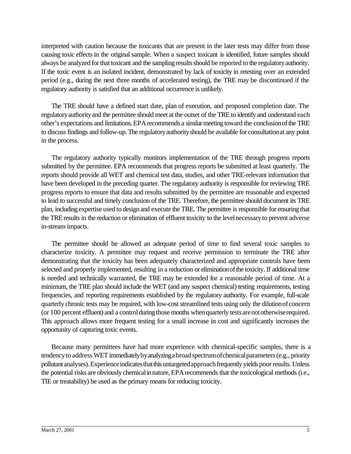interpreted with caution because the toxicants that are present in the later tests may differ from those causing toxic effects in the original sample. When a suspect toxicant is identified, future samples should always be analyzed for that toxicant and the sampling results should be reported to the regulatory authority. If the toxic event is an isolated incident, demonstrated by lack of toxicity in retesting over an extended period (e.g., during the next three months of accelerated testing), the TRE may be discontinued if the regulatory authority is satisfied that an additional occurrence is unlikely.

The TRE should have a defined start date, plan of execution, and proposed completion date. The regulatory authority and the permittee should meet at the outset of the TRE to identify and understand each other's expectations and limitations.EPArecommends a similarmeeting toward the conclusionofthe TRE to discuss findings and follow-up. The regulatoryauthorityshould be available for consultationat any point in the process.

The regulatory authority typically monitors implementation of the TRE through progress reports submitted by the permittee. EPA recommends that progress reports be submitted at least quarterly. The reports should provide all WET and chemical test data, studies, and other TRE-relevant information that have been developed in the preceding quarter. The regulatory authority is responsible for reviewing TRE progress reports to ensure that data and results submitted by the permittee are reasonable and expected to lead to successful and timely conclusion of the TRE. Therefore, the permittee should document its TRE plan, including expertise used to design and execute the TRE. The permittee is responsible for ensuring that the TREresults in the reduction or elimination of effluent toxicity to the levelnecessaryto prevent adverse in-stream impacts.

The permittee should be allowed an adequate period of time to find several toxic samples to characterize toxicity. A permittee may request and receive permission to terminate the TRE after demonstrating that the toxicity has been adequately characterized and appropriate controls have been selected and properly implemented, resulting in a reduction or eliminationofthe toxicity. If additional time is needed and technically warranted, the TRE may be extended for a reasonable period of time. At a minimum, the TRE plan should include the WET (and any suspect chemical) testing requirements, testing frequencies, and reporting requirements established by the regulatory authority. For example, full-scale quarterly chronic tests may be required, with low-cost streamlined tests using only the dilutionof concern (or 100 percent effluent) and a control during those months when quarterly tests are not otherwise required. This approach allows more frequent testing for a small increase in cost and significantly increases the opportunity of capturing toxic events.

Because many permittees have had more experience with chemical-specific samples, there is a tendency to address WET immediately by analyzing a broad spectrum of chemical parameters (e.g., priority pollutant analyses). Experience indicates that this untargeted approach frequently yields poor results. Unless the potential risks are obviously chemicalinnature, EPArecommends that the toxicological methods (i.e., TIE or treatability) be used as the primary means for reducing toxicity.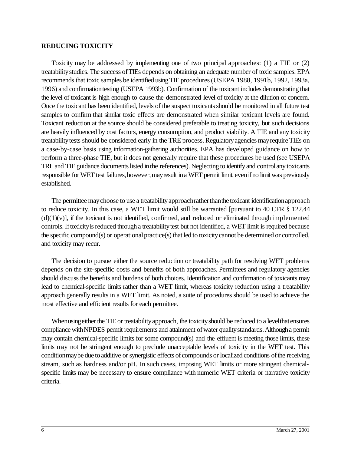#### **REDUCING TOXICITY**

Toxicity may be addressed by implementing one of two principal approaches: (1) a TIE or (2) treatabilitystudies. The success ofTIEs depends on obtaining an adequate number of toxic samples. EPA recommends that toxic samples be identified using TIE procedures (USEPA 1988, 1991b, 1992, 1993a, 1996) and confirmationtesting (USEPA 1993b). Confirmation of the toxicant includes demonstrating that the level of toxicant is high enough to cause the demonstrated level of toxicity at the dilution of concern. Once the toxicant has been identified, levels of the suspect toxicants should be monitored in all future test samples to confirm that similar toxic effects are demonstrated when similar toxicant levels are found. Toxicant reduction at the source should be considered preferable to treating toxicity, but such decisions are heavily influenced by cost factors, energy consumption, and product viability. A TIE and any toxicity treatability tests should be considered early in the TRE process. Regulatory agencies may require TIEs on a case-by-case basis using information-gathering authorities. EPA has developed guidance on how to perform a three-phase TIE, but it does not generally require that these procedures be used (see USEPA TRE and TIE guidance documents listed in the references). Neglecting to identify and control any toxicants responsible for WET test failures, however, may result in a WET permit limit, even if no limit was previously established.

The permittee may choose to use a treatability approach rather than the toxicant identification approach to reduce toxicity. In this case, a WET limit would still be warranted [pursuant to 40 CFR § 122.44  $(d)(1)(v)$ , if the toxicant is not identified, confirmed, and reduced or eliminated through implemented controls. If toxicity is reduced through a treatability test but not identified, a WET limit is required because the specific compound(s) or operational practice(s) that led to toxicity cannot be determined or controlled, and toxicity may recur.

The decision to pursue either the source reduction or treatability path for resolving WET problems depends on the site-specific costs and benefits of both approaches. Permittees and regulatory agencies should discuss the benefits and burdens of both choices. Identification and confirmation of toxicants may lead to chemical-specific limits rather than a WET limit, whereas toxicity reduction using a treatability approach generally results in a WET limit. As noted, a suite of procedures should be used to achieve the most effective and efficient results for each permittee.

When using either the TIE or treatability approach, the toxicity should be reduced to a level that ensures compliance with NPDES permit requirements and attainment of water quality standards. Although a permit may contain chemical-specific limits for some compound(s) and the effluent is meeting those limits, these limits may not be stringent enough to preclude unacceptable levels of toxicity in the WET test. This condition may be due to additive or synergistic effects of compounds or localized conditions of the receiving stream, such as hardness and/or pH. In such cases, imposing WET limits or more stringent chemicalspecific limits may be necessary to ensure compliance with numeric WET criteria or narrative toxicity criteria.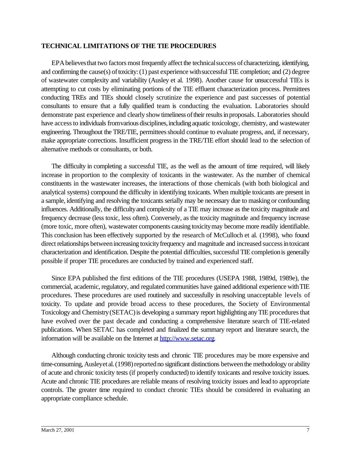# **TECHNICAL LIMITATIONS OF THE TIE PROCEDURES**

EPA believes that two factors most frequently affect the technical success of characterizing, identifying, and confirming the cause(s) of toxicity:  $(1)$  past experience with successful TIE completion; and  $(2)$  degree of wastewater complexity and variability (Ausley et al. 1998). Another cause for unsuccessful TIEs is attempting to cut costs by eliminating portions of the TIE effluent characterization process. Permittees conducting TREs and TIEs should closely scrutinize the experience and past successes of potential consultants to ensure that a fully qualified team is conducting the evaluation. Laboratories should demonstrate past experience and clearly show timeliness of their results in proposals. Laboratories should have access to individuals from various disciplines, including aquatic toxicology, chemistry, and wastewater engineering. Throughout the TRE/TIE, permittees should continue to evaluate progress, and, if necessary, make appropriate corrections. Insufficient progress in the TRE/TIE effort should lead to the selection of alternative methods or consultants, or both.

The difficulty in completing a successful TIE, as the well as the amount of time required, will likely increase in proportion to the complexity of toxicants in the wastewater. As the number of chemical constituents in the wastewater increases, the interactions of those chemicals (with both biological and analytical systems) compound the difficulty in identifying toxicants. When multiple toxicants are present in a sample, identifying and resolving the toxicants serially may be necessary due to masking or confounding influences. Additionally, the difficultyand complexity of a TIE may increase as the toxicity magnitude and frequency decrease (less toxic, less often). Conversely, as the toxicity magnitude and frequency increase (more toxic, more often), wastewater components causing toxicitymay become more readily identifiable. This conclusion has been effectively supported by the research of McCulloch et al. (1998), who found direct relationships between increasing toxicity frequency and magnitude and increased success in toxicant characterization and identification. Despite the potential difficulties, successful TIE completion is generally possible if proper TIE procedures are conducted by trained and experienced staff.

Since EPA published the first editions of the TIE procedures (USEPA 1988, 1989d, 1989e), the commercial, academic, regulatory, and regulated communities have gained additional experience with TIE procedures. These procedures are used routinely and successfully in resolving unacceptable levels of toxicity. To update and provide broad access to these procedures, the Society of Environmental Toxicology and Chemistry (SETAC) is developing a summary report highlighting any TIE procedures that have evolved over the past decade and conducting a comprehensive literature search of TIE-related publications. When SETAC has completed and finalized the summary report and literature search, the information will be available on the Internet at http://www.setac.org.

Although conducting chronic toxicity tests and chronic TIE procedures may be more expensive and time-consuming, Ausleyet al. (1998) reported no significant distinctions between the methodology or ability of acute and chronic toxicity tests (if properly conducted) to identify toxicants and resolve toxicity issues. Acute and chronic TIE procedures are reliable means of resolving toxicity issues and lead to appropriate controls. The greater time required to conduct chronic TIEs should be considered in evaluating an appropriate compliance schedule.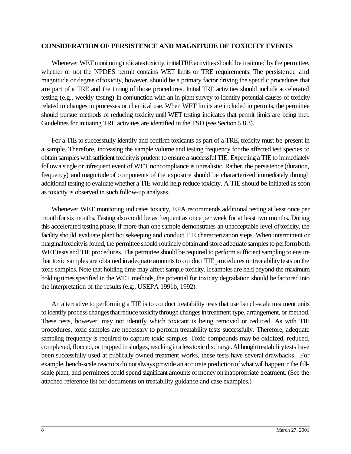### **CONSIDERATION OF PERSISTENCE AND MAGNITUDE OF TOXICITY EVENTS**

Whenever WET monitoring indicates toxicity, initialTRE activities should be instituted by the permittee, whether or not the NPDES permit contains WET limits or TRE requirements. The persistence and magnitude or degree oftoxicity, however, should be a primary factor driving the specific procedures that are part of a TRE and the timing of those procedures. Initial TRE activities should include accelerated testing (e.g., weekly testing) in conjunction with an in-plant survey to identify potential causes of toxicity related to changes in processes or chemical use. When WET limits are included in permits, the permittee should pursue methods of reducing toxicity until WET testing indicates that permit limits are being met. Guidelines for initiating TRE activities are identified in the TSD (see Section 5.8.3).

For a TIE to successfully identify and confirm toxicants as part of a TRE, toxicity must be present in a sample. Therefore, increasing the sample volume and testing frequency for the affected test species to obtain samples with sufficient toxicity is prudent to ensure a successful TIE. Expecting a TIE to immediately followa single or infrequent event of WET noncompliance is unrealistic. Rather, the persistence (duration, frequency) and magnitude of components of the exposure should be characterized immediately through additional testing to evaluate whether a TIE would help reduce toxicity. A TIE should be initiated as soon as toxicity is observed in such follow-up analyses.

Whenever WET monitoring indicates toxicity, EPA recommends additional testing at least once per monthether for six months. Testing also could be as frequent as once per week for at least two months. During this accelerated testing phase, if more than one sample demonstrates an unacceptable level oftoxicity, the facility should evaluate plant housekeeping and conduct TIE characterization steps. When intermittent or marginal toxicity is found, the permittee should routinely obtain and store adequate samples to perform both WET tests and TIE procedures. The permittee should be required to perform sufficient sampling to ensure that toxic samples are obtained in adequate amounts to conduct TIE procedures or treatability tests on the toxic samples. Note that holding time may affect sample toxicity. Ifsamples are held beyond the maximum holding times specified in the WET methods, the potential for toxicity degradation should be factored into the interpretation of the results (e.g., USEPA 1991b, 1992).

An alternative to performing a TIE is to conduct treatability tests that use bench-scale treatment units to identify process changes that reduce toxicity through changes in treatment type, arrangement, or method. These tests, however, may not identify which toxicant is being removed or reduced. As with TIE procedures, toxic samples are necessary to perform treatability tests successfully. Therefore, adequate sampling frequency is required to capture toxic samples. Toxic compounds may be oxidized, reduced, complexed, flocced, or trapped in sludges, resulting in a less toxic discharge. Although treatability tests have been successfully used at publically owned treatment works, these tests have several drawbacks. For example, bench-scale reactors do not always provide an accurate prediction of what will happen in the fullscale plant, and permittees could spend significant amounts of money on inappropriate treatment. (See the attached reference list for documents on treatability guidance and case examples.)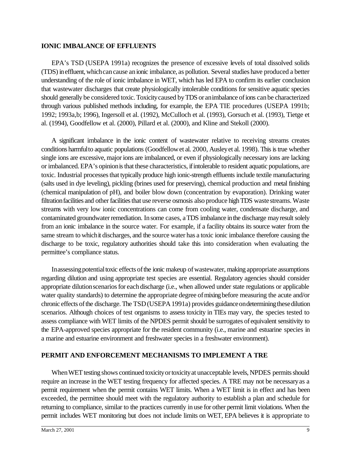# **IONIC IMBALANCE OF EFFLUENTS**

EPA's TSD (USEPA 1991a) recognizes the presence of excessive levels of total dissolved solids (TDS) in effluent, which can cause an ionic imbalance, as pollution. Several studies have produced a better understanding of the role of ionic imbalance in WET, which has led EPA to confirm its earlier conclusion that wastewater discharges that create physiologically intolerable conditions for sensitive aquatic species should generally be considered toxic. Toxicitycaused byTDS or animbalance ofions canbe characterized through various published methods including, for example, the EPA TIE procedures (USEPA 1991b; 1992; 1993a,b; 1996), Ingersoll et al. (1992), McCulloch et al. (1993), Gorsuch et al. (1993), Tietge et al. (1994), Goodfellow et al. (2000), Pillard et al. (2000), and Kline and Stekoll (2000).

A significant imbalance in the ionic content of wastewater relative to receiving streams creates conditions harmfulto aquatic populations (Goodfellowet al. 2000, Ausleyet al. 1998). Thisistrue whether single ions are excessive, major ions are imbalanced, or even if physiologically necessary ions are lacking or imbalanced. EPA's opinion is that these characteristics, if intolerable to resident aquatic populations, are toxic. Industrial processes that typically produce high ionic-strength effluents include textile manufacturing (salts used in dye leveling), pickling (brines used for preserving), chemical production and metal finishing (chemical manipulation of pH), and boiler blow down (concentration by evaporation). Drinking water filtration facilities and other facilities that use reverse osmosis also produce high TDS waste streams. Waste streams with very low ionic concentrations can come from cooling water, condensate discharge, and contaminated groundwater remediation. In some cases, a TDS imbalance in the discharge may result solely from an ionic imbalance in the source water. For example, if a facility obtains its source water from the same stream to whichit discharges, and the source water has a toxic ionic imbalance therefore causing the discharge to be toxic, regulatory authorities should take this into consideration when evaluating the permittee's compliance status.

In assessing potential toxic effects of the ionic makeup of wastewater, making appropriate assumptions regarding dilution and using appropriate test species are essential. Regulatory agencies should consider appropriate dilution scenarios for each discharge (i.e., when allowed under state regulations or applicable water quality standards) to determine the appropriate degree of mixing before measuring the acute and/or chronic effects of the discharge. The TSD (USEPA 1991a) provides guidance on determining these dilution scenarios. Although choices of test organisms to assess toxicity in TIEs may vary, the species tested to assess compliance with WET limits of the NPDES permit should be surrogates of equivalent sensitivity to the EPA-approved species appropriate for the resident community (i.e., marine and estuarine species in a marine and estuarine environment and freshwater species in a freshwater environment).

## **PERMIT AND ENFORCEMENT MECHANISMS TO IMPLEMENT A TRE**

When WET testing shows continued toxicity or toxicity at unacceptable levels, NPDES permits should require an increase in the WET testing frequency for affected species. A TRE may not be necessaryas a permit requirement when the permit contains WET limits. When a WET limit is in effect and has been exceeded, the permittee should meet with the regulatory authority to establish a plan and schedule for returning to compliance, similar to the practices currently in use for other permit limit violations. When the permit includes WET monitoring but does not include limits on WET, EPA believes it is appropriate to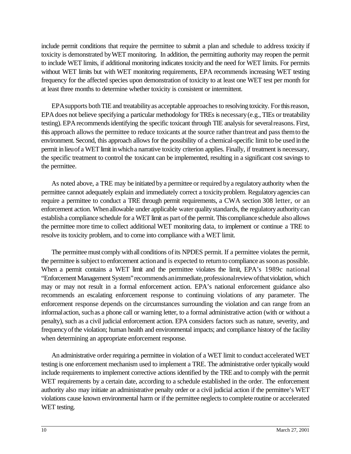include permit conditions that require the permittee to submit a plan and schedule to address toxicity if toxicity is demonstrated byWET monitoring. In addition, the permitting authority may reopen the permit to include WET limits, if additional monitoring indicates toxicityand the need for WET limits. For permits without WET limits but with WET monitoring requirements, EPA recommends increasing WET testing frequency for the affected species upon demonstration of toxicity to at least one WET test per month for at least three months to determine whether toxicity is consistent or intermittent.

EPA supports both TIE and treatability as acceptable approaches to resolving toxicity. For this reason, EPAdoes not believe specifying a particular methodology forTREs is necessary(e.g., TIEs or treatability testing). EPArecommendsidentifying the specific toxicant through TIE analysis for severalreasons. First, this approach allows the permittee to reduce toxicants at the source rather thantreat and passthemto the environment. Second, this approach allows for the possibility of a chemical-specific limit to be used inthe permit inlieuof a WET limit inwhicha narrative toxicity criterion applies. Finally, if treatment is necessary, the specific treatment to control the toxicant can be implemented, resulting in a significant cost savings to the permittee.

As noted above, a TRE may be initiated by a permittee or required by a regulatory authority when the permittee cannot adequately explain and immediately correct a toxicity problem. Regulatory agencies can require a permittee to conduct a TRE through permit requirements, a CWA section 308 letter, or an enforcement action. Whenallowable under applicable water qualitystandards, the regulatoryauthoritycan establish a compliance schedule for a WET limit as part of the permit. This compliance schedule also allows the permittee more time to collect additional WET monitoring data, to implement or continue a TRE to resolve its toxicity problem, and to come into compliance with a WET limit.

The permittee must comply with all conditions of its NPDES permit. If a permittee violates the permit, the permittee is subject to enforcement action and is expected to return to compliance as soon as possible. When a permit contains a WET limit and the permittee violates the limit, EPA's 1989c national "Enforcement Management System" recommends an immediate, professional review of that violation, which may or may not result in a formal enforcement action. EPA's national enforcement guidance also recommends an escalating enforcement response to continuing violations of any parameter. The enforcement response depends on the circumstances surrounding the violation and can range from an informalaction, suchas a phone call or warning letter, to a formal administrative action (with or without a penalty), such as a civil judicial enforcement action. EPA considers factors such as nature, severity, and frequencyofthe violation; human health and environmental impacts; and compliance history of the facility when determining an appropriate enforcement response.

An administrative order requiring a permittee in violation of a WET limit to conduct accelerated WET testing is one enforcement mechanism used to implement a TRE. The administrative order typicallywould include requirements to implement corrective actions identified by the TRE and to comply with the permit WET requirements by a certain date, according to a schedule established in the order. The enforcement authority also may initiate an administrative penalty order or a civil judicial action if the permittee's WET violations cause known environmental harm or if the permittee neglects to complete routine or accelerated WET testing.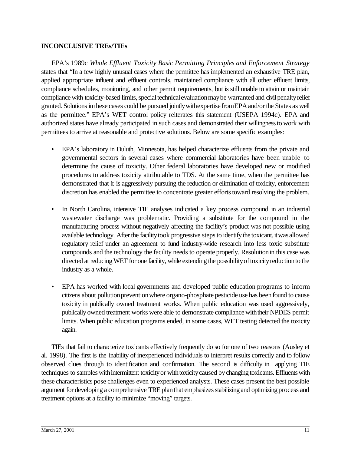# **INCONCLUSIVE TREs/TIEs**

EPA's 1989c *Whole Effluent Toxicity Basic Permitting Principles and Enforcement Strategy* states that "In a few highly unusual cases where the permittee has implemented an exhaustive TRE plan, applied appropriate influent and effluent controls, maintained compliance with all other effluent limits, compliance schedules, monitoring, and other permit requirements, but is still unable to attain or maintain compliance with toxicity-based limits, special technical evaluation may be warranted and civil penalty relief granted. Solutions inthese cases could be pursued jointlywithexpertisefromEPAand/or the States as well as the permittee." EPA's WET control policy reiterates this statement (USEPA 1994c). EPA and authorized states have already participated in such cases and demonstrated their willingnessto work with permittees to arrive at reasonable and protective solutions. Below are some specific examples:

- EPA's laboratory in Duluth, Minnesota, has helped characterize effluents from the private and governmental sectors in several cases where commercial laboratories have been unable to determine the cause of toxicity. Other federal laboratories have developed new or modified procedures to address toxicity attributable to TDS. At the same time, when the permittee has demonstrated that it is aggressively pursuing the reduction or elimination of toxicity, enforcement discretion has enabled the permittee to concentrate greater efforts toward resolving the problem.
- In North Carolina, intensive TIE analyses indicated a key process compound in an industrial wastewater discharge was problematic. Providing a substitute for the compound in the manufacturing process without negatively affecting the facility's product was not possible using available technology. After the facility took progressive steps to identify the toxicant, it was allowed regulatory relief under an agreement to fund industry-wide research into less toxic substitute compounds and the technology the facility needs to operate properly. Resolutionin this case was directed at reducing WET for one facility, while extending the possibility of toxicity reduction to the industry as a whole.
- EPA has worked with local governments and developed public education programs to inform citizens about pollution prevention where organo-phosphate pesticide use has been found to cause toxicity in publically owned treatment works. When public education was used aggressively, publically owned treatment works were able to demonstrate compliance withtheir NPDES permit limits. When public education programs ended, in some cases, WET testing detected the toxicity again.

TIEs that fail to characterize toxicants effectively frequently do so for one of two reasons (Ausley et al. 1998). The first is the inability of inexperienced individuals to interpret results correctly and to follow observed clues through to identification and confirmation. The second is difficulty in applying TIE techniques to samples with intermittent toxicity or with toxicity caused by changing toxicants. Effluents with these characteristics pose challenges even to experienced analysts. These cases present the best possible argument for developing a comprehensive TRE plan that emphasizes stabilizing and optimizing process and treatment options at a facility to minimize "moving" targets.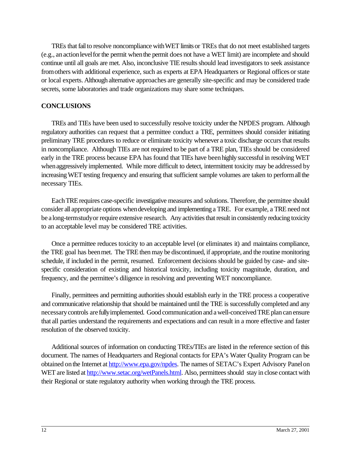TREs that fail to resolve noncompliance with WET limits or TREs that do not meet established targets (e.g., anactionlevelforthe permit whenthe permit does not have a WET limit) are incomplete and should continue until all goals are met. Also, inconclusive TIE results should lead investigators to seek assistance fromothers with additional experience, such as experts at EPA Headquarters or Regional offices orstate or local experts. Although alternative approaches are generally site-specific and may be considered trade secrets, some laboratories and trade organizations may share some techniques.

## **CONCLUSIONS**

TREs and TIEs have been used to successfully resolve toxicity underthe NPDES program. Although regulatory authorities can request that a permittee conduct a TRE, permittees should consider initiating preliminary TRE procedures to reduce or eliminate toxicity whenever a toxic discharge occurs that results in noncompliance. Although TIEs are not required to be part of a TRE plan, TIEs should be considered early in the TRE process because EPA has found that TIEs have been highly successful in resolving WET when aggressively implemented. While more difficult to detect, intermittent toxicity may be addressed by increasing WET testing frequency and ensuring that sufficient sample volumes are taken to performall the necessary TIEs.

Each TRE requires case-specific investigative measures and solutions. Therefore, the permittee should consider all appropriate options when developing and implementing a TRE. For example, a TRE need not be a long-termstudyor require extensive research. Any activities that result in consistently reducing toxicity to an acceptable level may be considered TRE activities.

Once a permittee reduces toxicity to an acceptable level (or eliminates it) and maintains compliance, the TRE goal has beenmet. The TRE then may be discontinued, if appropriate, and the routine monitoring schedule, if included in the permit, resumed. Enforcement decisions should be guided by case- and sitespecific consideration of existing and historical toxicity, including toxicity magnitude, duration, and frequency, and the permittee's diligence in resolving and preventing WET noncompliance.

Finally, permittees and permitting authorities should establish early in the TRE process a cooperative and communicative relationship that should be maintained until the TRE is successfully completed and any necessarycontrols are fullyimplemented. Good communication and a well-conceived TRE plan can ensure that all parties understand the requirements and expectations and can result in a more effective and faster resolution of the observed toxicity.

Additional sources of information on conducting TREs/TIEs are listed in the reference section of this document. The names of Headquarters and Regional contacts for EPA's Water Quality Program can be obtained on the Internet at http://www.epa.gov/npdes. The names of SETAC's Expert Advisory Panel on WET are listed at http://www.setac.org/wetPanels.html. Also, permittees should stay in close contact with their Regional or state regulatory authority when working through the TRE process.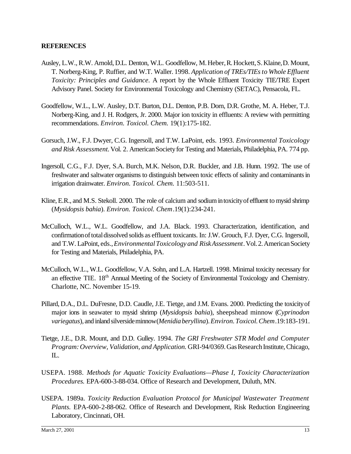## **REFERENCES**

- Ausley, L.W., R.W. Arnold, D.L. Denton, W.L. Goodfellow, M. Heber, R. Hockett, S. Klaine, D. Mount, T. Norberg-King, P. Ruffier, and W.T. Waller. 1998. *Application of TREs/TIEsto Whole Effluent Toxicity: Principles and Guidance*. A report by the Whole Effluent Toxicity TIE/TRE Expert Advisory Panel. Society for Environmental Toxicology and Chemistry (SETAC), Pensacola, FL.
- Goodfellow, W.L., L.W. Ausley, D.T. Burton, D.L. Denton, P.B. Dorn, D.R. Grothe, M. A. Heber, T.J. Norberg-King, and J. H. Rodgers, Jr. 2000. Major ion toxicity in effluents: A review with permitting recommendations. *Environ. Toxicol. Chem.* 19(1):175-182.
- Gorsuch, J.W., F.J. Dwyer, C.G. Ingersoll, and T.W. LaPoint, eds. 1993. *Environmental Toxicology and Risk Assessment.*Vol. 2. AmericanSocietyfor Testing and Materials, Philadelphia, PA. 774 pp.
- Ingersoll, C.G., F.J. Dyer, S.A. Burch, M.K. Nelson, D.R. Buckler, and J.B. Hunn. 1992. The use of freshwater and saltwater organisms to distinguish between toxic effects of salinity and contaminants in irrigation drainwater. *Environ. Toxicol. Chem.* 11:503-511.
- Kline,E.R., and M.S. Stekoll. 2000. The role of calcium and sodiumintoxicityof effluent to mysid shrimp (*Mysidopsis bahia*). *Environ. Toxicol. Chem*.19(1):234-241.
- McCulloch, W.L., W.L. Goodfellow, and J.A. Black. 1993. Characterization, identification, and confirmationoftotaldissolved solids as effluent toxicants. In: J.W. Grouch, F.J. Dyer, C.G. Ingersoll, and T.W. LaPoint, eds.,*EnvironmentalToxicologyand Risk Assessment*. Vol. 2. American Society for Testing and Materials, Philadelphia, PA.
- McCulloch, W.L., W.L. Goodfellow, V.A. Sohn, and L.A. Hartzell. 1998. Minimal toxicity necessary for an effective TIE. 18<sup>th</sup> Annual Meeting of the Society of Environmental Toxicology and Chemistry. Charlotte, NC. November 15-19.
- Pillard, D.A., D.L. DuFresne, D.D. Caudle, J.E. Tietge, and J.M. Evans. 2000. Predicting the toxicityof major ions in seawater to mysid shrimp (*Mysidopsis bahia*), sheepshead minnow (*Cyprinodon variegatus*), and inlandsilversideminnow(*Menidiaberyllina*).*Environ.Toxicol.Chem*.19:183-191.
- Tietge, J.E., D.R. Mount, and D.D. Gulley. 1994. *The GRI Freshwater STR Model and Computer Program:Overview, Validation, and Application.* GRI-94/0369.GasResearchInstitute,Chicago, IL.
- USEPA. 1988. *Methods for Aquatic Toxicity Evaluations—Phase I, Toxicity Characterization Procedures.* EPA-600-3-88-034. Office of Research and Development, Duluth, MN.
- USEPA. 1989a. *Toxicity Reduction Evaluation Protocol for Municipal Wastewater Treatment Plants.* EPA-600-2-88-062. Office of Research and Development, Risk Reduction Engineering Laboratory, Cincinnati, OH.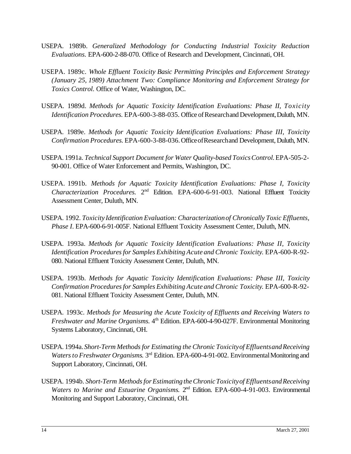- USEPA. 1989b. *Generalized Methodology for Conducting Industrial Toxicity Reduction Evaluations.* EPA-600-2-88-070. Office of Research and Development, Cincinnati, OH.
- USEPA. 1989c. *Whole Effluent Toxicity Basic Permitting Principles and Enforcement Strategy (January 25, 1989) Attachment Two: Compliance Monitoring and Enforcement Strategy for Toxics Control.* Office of Water, Washington, DC.
- USEPA. 1989d. *Methods for Aquatic Toxicity Identification Evaluations: Phase II, Toxicity Identification Procedures.* EPA-600-3-88-035. Office of Researchand Development, Duluth, MN.
- USEPA. 1989e. *Methods for Aquatic Toxicity Identification Evaluations: Phase III, Toxicity Confirmation Procedures.* EPA-600-3-88-036.OfficeofResearchand Development, Duluth, MN.
- USEPA. 1991a. *Technical Support Document for Water Quality-based ToxicsControl.*EPA-505-2- 90-001. Office of Water Enforcement and Permits, Washington, DC.
- USEPA. 1991b. *Methods for Aquatic Toxicity Identification Evaluations: Phase I, Toxicity* Characterization Procedures. 2<sup>nd</sup> Edition. EPA-600-6-91-003. National Effluent Toxicity Assessment Center, Duluth, MN.
- USEPA. 1992. *Toxicity Identification Evaluation: Characterizationof Chronically Toxic Effluents, Phase I*. EPA-600-6-91-005F. National Effluent Toxicity Assessment Center, Duluth, MN.
- USEPA. 1993a. *Methods for Aquatic Toxicity Identification Evaluations: Phase II, Toxicity Identification Proceduresfor Samples Exhibiting Acute and Chronic Toxicity*. EPA-600-R-92- 080. National Effluent Toxicity Assessment Center, Duluth, MN.
- USEPA. 1993b. *Methods for Aquatic Toxicity Identification Evaluations: Phase III, Toxicity Confirmation Proceduresfor Samples Exhibiting Acute and Chronic Toxicity*. EPA-600-R-92- 081. National Effluent Toxicity Assessment Center, Duluth, MN.
- USEPA. 1993c. *Methods for Measuring the Acute Toxicity of Effluents and Receiving Waters to Freshwater and Marine Organisms.* 4<sup>th</sup> Edition. EPA-600-4-90-027F. Environmental Monitoring Systems Laboratory, Cincinnati, OH.
- USEPA. 1994a.*Short-Term Methodsfor Estimating the Chronic Toxicityof EffluentsandReceiving Watersto Freshwater Organisms*. 3rd Edition. EPA-600-4-91-002. EnvironmentalMonitoring and Support Laboratory, Cincinnati, OH.
- USEPA. 1994b. *Short-Term MethodsforEstimating theChronicToxicityof EffluentsandReceiving Waters to Marine and Estuarine Organisms.* 2<sup>nd</sup> Edition. EPA-600-4-91-003. Environmental Monitoring and Support Laboratory, Cincinnati, OH.